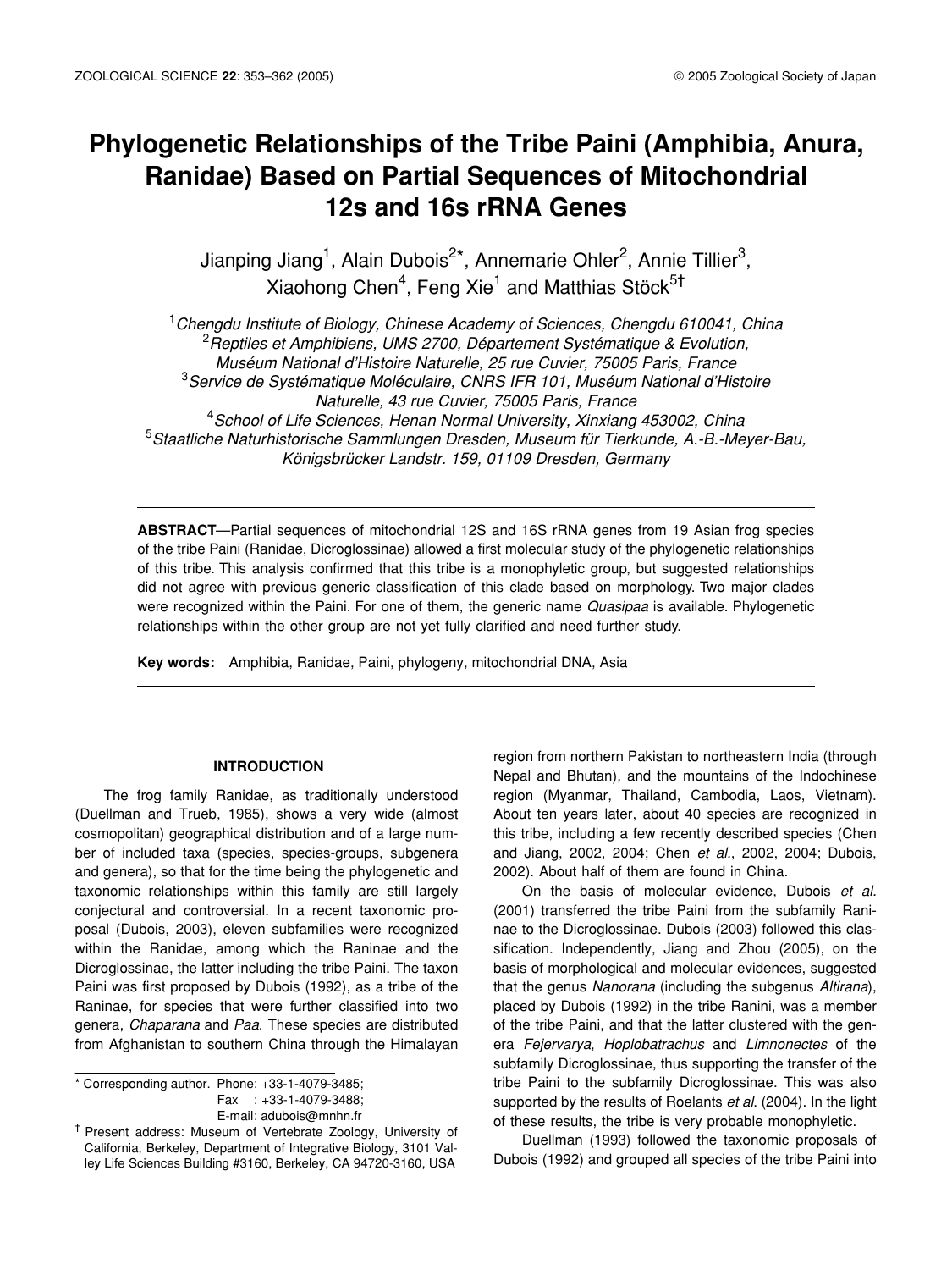# **Phylogenetic Relationships of the Tribe Paini (Amphibia, Anura, Ranidae) Based on Partial Sequences of Mitochondrial 12s and 16s rRNA Genes**

Jianping Jiang<sup>1</sup>, Alain Dubois<sup>2\*</sup>, Annemarie Ohler<sup>2</sup>, Annie Tillier<sup>3</sup>, Xiaohong Chen<sup>4</sup>, Feng Xie<sup>1</sup> and Matthias Stöck<sup>5†</sup>

 *Chengdu Institute of Biology, Chinese Academy of Sciences, Chengdu 610041, China Reptiles et Amphibiens, UMS 2700, Département Systématique & Evolution, Muséum National d'Histoire Naturelle, 25 rue Cuvier, 75005 Paris, France Service de Systématique Moléculaire, CNRS IFR 101, Muséum National d'Histoire Naturelle, 43 rue Cuvier, 75005 Paris, France School of Life Sciences, Henan Normal University, Xinxiang 453002, China Staatliche Naturhistorische Sammlungen Dresden, Museum für Tierkunde, A.-B.-Meyer-Bau, Königsbrücker Landstr. 159, 01109 Dresden, Germany* 

**ABSTRACT**—Partial sequences of mitochondrial 12S and 16S rRNA genes from 19 Asian frog species of the tribe Paini (Ranidae, Dicroglossinae) allowed a first molecular study of the phylogenetic relationships of this tribe. This analysis confirmed that this tribe is a monophyletic group, but suggested relationships did not agree with previous generic classification of this clade based on morphology. Two major clades were recognized within the Paini. For one of them, the generic name *Quasipaa* is available. Phylogenetic relationships within the other group are not yet fully clarified and need further study.

**Key words:** Amphibia, Ranidae, Paini, phylogeny, mitochondrial DNA, Asia

### **INTRODUCTION**

The frog family Ranidae, as traditionally understood (Duellman and Trueb, 1985), shows a very wide (almost cosmopolitan) geographical distribution and of a large number of included taxa (species, species-groups, subgenera and genera), so that for the time being the phylogenetic and taxonomic relationships within this family are still largely conjectural and controversial. In a recent taxonomic proposal (Dubois, 2003), eleven subfamilies were recognized within the Ranidae, among which the Raninae and the Dicroglossinae, the latter including the tribe Paini. The taxon Paini was first proposed by Dubois (1992), as a tribe of the Raninae, for species that were further classified into two genera, *Chaparana* and *Paa*. These species are distributed from Afghanistan to southern China through the Himalayan

\* Corresponding author. Phone: +33-1-4079-3485; Fax : +33-1-4079-3488; E-mail: adubois@mnhn.fr

† Present address: Museum of Vertebrate Zoology, University of California, Berkeley, Department of Integrative Biology, 3101 Valley Life Sciences Building #3160, Berkeley, CA 94720-3160, USA

region from northern Pakistan to northeastern India (through Nepal and Bhutan), and the mountains of the Indochinese region (Myanmar, Thailand, Cambodia, Laos, Vietnam). About ten years later, about 40 species are recognized in this tribe, including a few recently described species (Chen and Jiang, 2002, 2004; Chen *et al.*, 2002, 2004; Dubois, 2002). About half of them are found in China.

On the basis of molecular evidence, Dubois *et al.* (2001) transferred the tribe Paini from the subfamily Raninae to the Dicroglossinae. Dubois (2003) followed this classification. Independently, Jiang and Zhou (2005), on the basis of morphological and molecular evidences, suggested that the genus *Nanorana* (including the subgenus *Altirana*), placed by Dubois (1992) in the tribe Ranini, was a member of the tribe Paini, and that the latter clustered with the genera *Fejervarya*, *Hoplobatrachus* and *Limnonectes* of the subfamily Dicroglossinae, thus supporting the transfer of the tribe Paini to the subfamily Dicroglossinae. This was also supported by the results of Roelants *et al*. (2004). In the light of these results, the tribe is very probable monophyletic.

Duellman (1993) followed the taxonomic proposals of Dubois (1992) and grouped all species of the tribe Paini into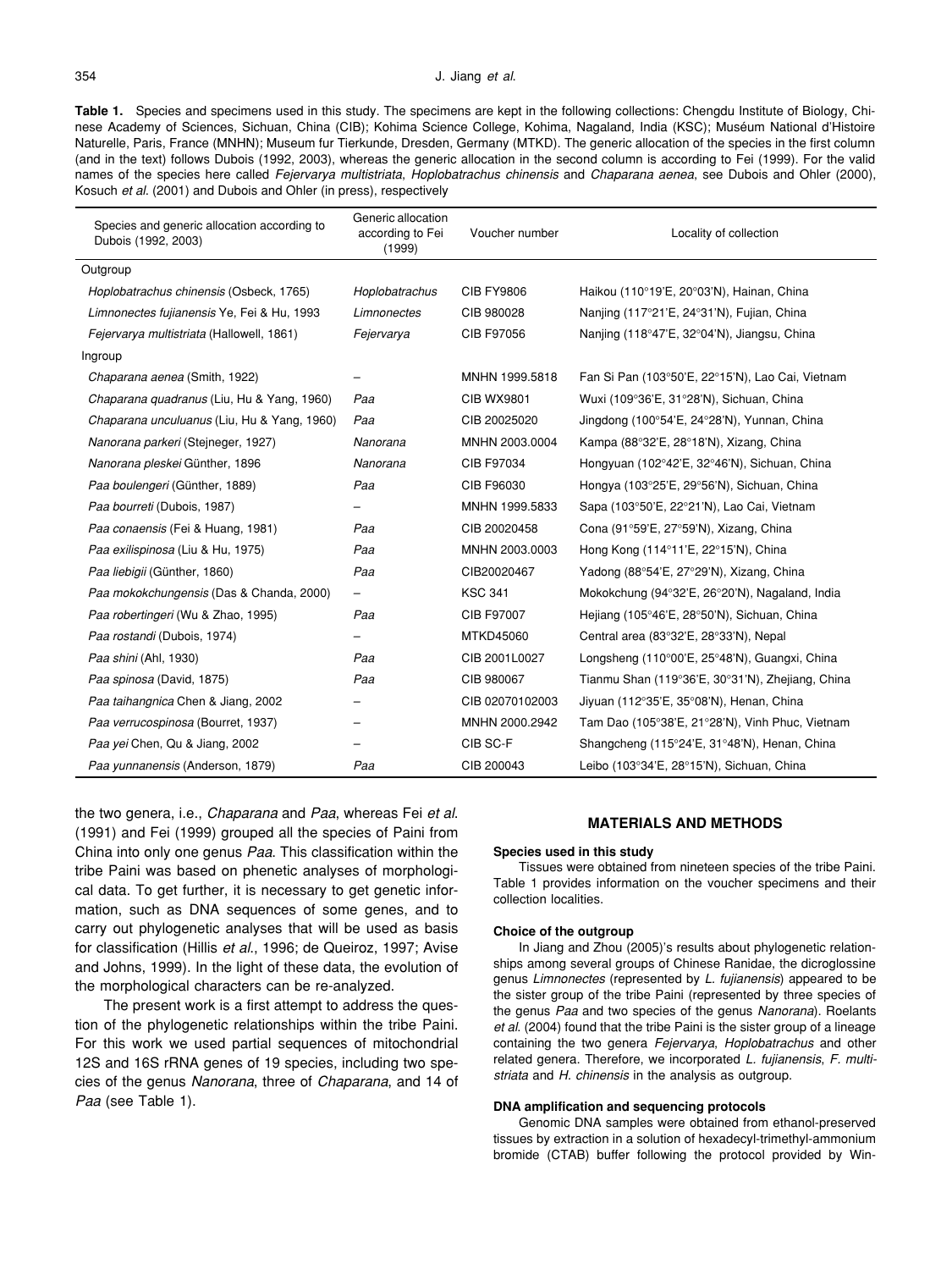**Table 1.** Species and specimens used in this study. The specimens are kept in the following collections: Chengdu Institute of Biology, Chinese Academy of Sciences, Sichuan, China (CIB); Kohima Science College, Kohima, Nagaland, India (KSC); Muséum National d'Histoire Naturelle, Paris, France (MNHN); Museum fur Tierkunde, Dresden, Germany (MTKD). The generic allocation of the species in the first column (and in the text) follows Dubois (1992, 2003), whereas the generic allocation in the second column is according to Fei (1999). For the valid names of the species here called *Fejervarya multistriata*, *Hoplobatrachus chinensis* and *Chaparana aenea*, see Dubois and Ohler (2000), Kosuch *et al*. (2001) and Dubois and Ohler (in press), respectively

| Species and generic allocation according to<br>Dubois (1992, 2003) | Generic allocation<br>according to Fei<br>(1999) | Voucher number    | Locality of collection                           |
|--------------------------------------------------------------------|--------------------------------------------------|-------------------|--------------------------------------------------|
| Outgroup                                                           |                                                  |                   |                                                  |
| Hoplobatrachus chinensis (Osbeck, 1765)                            | Hoplobatrachus                                   | <b>CIB FY9806</b> | Haikou (110°19'E, 20°03'N), Hainan, China        |
| Limnonectes fujianensis Ye, Fei & Hu, 1993                         | Limnonectes                                      | CIB 980028        | Nanjing (117°21'E, 24°31'N), Fujian, China       |
| Fejervarya multistriata (Hallowell, 1861)                          | Fejervarya                                       | <b>CIB F97056</b> | Nanjing (118°47'E, 32°04'N), Jiangsu, China      |
| Ingroup                                                            |                                                  |                   |                                                  |
| Chaparana aenea (Smith, 1922)                                      |                                                  | MNHN 1999.5818    | Fan Si Pan (103°50'E, 22°15'N), Lao Cai, Vietnam |
| Chaparana quadranus (Liu, Hu & Yang, 1960)                         | Paa                                              | <b>CIB WX9801</b> | Wuxi (109°36'E, 31°28'N), Sichuan, China         |
| Chaparana unculuanus (Liu, Hu & Yang, 1960)                        | Paa                                              | CIB 20025020      | Jingdong (100°54'E, 24°28'N), Yunnan, China      |
| Nanorana parkeri (Stejneger, 1927)                                 | Nanorana                                         | MNHN 2003.0004    | Kampa (88°32'E, 28°18'N), Xizang, China          |
| Nanorana pleskei Günther, 1896                                     | Nanorana                                         | CIB F97034        | Hongyuan (102°42'E, 32°46'N), Sichuan, China     |
| Paa boulengeri (Günther, 1889)                                     | Paa                                              | CIB F96030        | Hongya (103°25'E, 29°56'N), Sichuan, China       |
| Paa bourreti (Dubois, 1987)                                        |                                                  | MNHN 1999.5833    | Sapa (103°50'E, 22°21'N), Lao Cai, Vietnam       |
| Paa conaensis (Fei & Huang, 1981)                                  | Paa                                              | CIB 20020458      | Cona (91°59'E, 27°59'N), Xizang, China           |
| Paa exilispinosa (Liu & Hu, 1975)                                  | Paa                                              | MNHN 2003.0003    | Hong Kong (114°11'E, 22°15'N), China             |
| Paa liebigii (Günther, 1860)                                       | Paa                                              | CIB20020467       | Yadong (88°54'E, 27°29'N), Xizang, China         |
| Paa mokokchungensis (Das & Chanda, 2000)                           | $\overline{\phantom{0}}$                         | <b>KSC 341</b>    | Mokokchung (94°32'E, 26°20'N), Nagaland, India   |
| Paa robertingeri (Wu & Zhao, 1995)                                 | Paa                                              | <b>CIB F97007</b> | Hejiang (105°46'E, 28°50'N), Sichuan, China      |
| Paa rostandi (Dubois, 1974)                                        | —                                                | MTKD45060         | Central area (83°32'E, 28°33'N), Nepal           |
| Paa shini (Ahl, 1930)                                              | Paa                                              | CIB 2001L0027     | Longsheng (110°00'E, 25°48'N), Guangxi, China    |
| Paa spinosa (David, 1875)                                          | Paa                                              | CIB 980067        | Tianmu Shan (119°36'E, 30°31'N), Zhejiang, China |
| Paa taihangnica Chen & Jiang, 2002                                 | $\qquad \qquad -$                                | CIB 02070102003   | Jiyuan (112°35'E, 35°08'N), Henan, China         |
| Paa verrucospinosa (Bourret, 1937)                                 |                                                  | MNHN 2000.2942    | Tam Dao (105°38'E, 21°28'N), Vinh Phuc, Vietnam  |
| Paa yei Chen, Qu & Jiang, 2002                                     |                                                  | CIB SC-F          | Shangcheng (115°24'E, 31°48'N), Henan, China     |
| Paa yunnanensis (Anderson, 1879)                                   | Paa                                              | CIB 200043        | Leibo (103°34'E, 28°15'N), Sichuan, China        |

the two genera, i.e., *Chaparana* and *Paa*, whereas Fei *et al*. (1991) and Fei (1999) grouped all the species of Paini from China into only one genus *Paa*. This classification within the tribe Paini was based on phenetic analyses of morphological data. To get further, it is necessary to get genetic information, such as DNA sequences of some genes, and to carry out phylogenetic analyses that will be used as basis for classification (Hillis *et al*., 1996; de Queiroz, 1997; Avise and Johns, 1999). In the light of these data, the evolution of the morphological characters can be re-analyzed.

The present work is a first attempt to address the question of the phylogenetic relationships within the tribe Paini. For this work we used partial sequences of mitochondrial 12S and 16S rRNA genes of 19 species, including two species of the genus *Nanorana*, three of *Chaparana*, and 14 of *Paa* (see Table 1).

### **MATERIALS AND METHODS**

#### **Species used in this study**

Tissues were obtained from nineteen species of the tribe Paini. Table 1 provides information on the voucher specimens and their collection localities.

#### **Choice of the outgroup**

In Jiang and Zhou (2005)'s results about phylogenetic relationships among several groups of Chinese Ranidae, the dicroglossine genus *Limnonectes* (represented by *L. fujianensis*) appeared to be the sister group of the tribe Paini (represented by three species of the genus *Paa* and two species of the genus *Nanorana*). Roelants *et al*. (2004) found that the tribe Paini is the sister group of a lineage containing the two genera *Fejervarya*, *Hoplobatrachus* and other related genera. Therefore, we incorporated *L. fujianensis*, *F. multistriata* and *H. chinensis* in the analysis as outgroup.

#### **DNA amplification and sequencing protocols**

Genomic DNA samples were obtained from ethanol-preserved tissues by extraction in a solution of hexadecyl-trimethyl-ammonium bromide (CTAB) buffer following the protocol provided by Win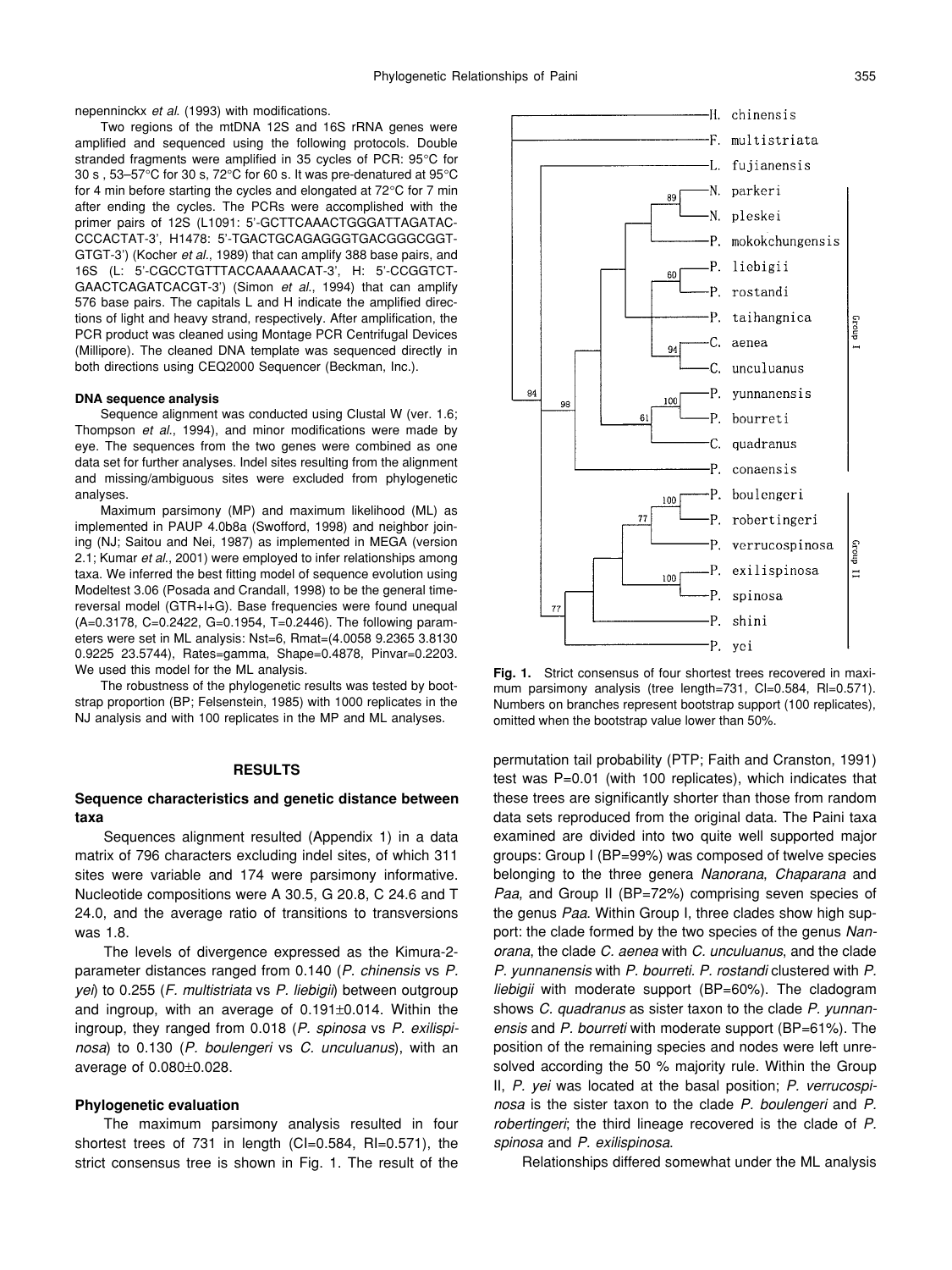nepenninckx *et al*. (1993) with modifications.

Two regions of the mtDNA 12S and 16S rRNA genes were amplified and sequenced using the following protocols. Double stranded fragments were amplified in 35 cycles of PCR: 95°C for 30 s , 53–57°C for 30 s, 72°C for 60 s. It was pre-denatured at 95°C for 4 min before starting the cycles and elongated at 72°C for 7 min after ending the cycles. The PCRs were accomplished with the primer pairs of 12S (L1091: 5'-GCTTCAAACTGGGATTAGATAC-CCCACTAT-3', H1478: 5'-TGACTGCAGAGGGTGACGGGCGGT-GTGT-3') (Kocher *et al.*, 1989) that can amplify 388 base pairs, and 16S (L: 5'-CGCCTGTTTACCAAAAACAT-3', H: 5'-CCGGTCT-GAACTCAGATCACGT-3') (Simon *et al*., 1994) that can amplify 576 base pairs. The capitals L and H indicate the amplified directions of light and heavy strand, respectively. After amplification, the PCR product was cleaned using Montage PCR Centrifugal Devices (Millipore). The cleaned DNA template was sequenced directly in both directions using CEQ2000 Sequencer (Beckman, Inc.).

#### **DNA sequence analysis**

Sequence alignment was conducted using Clustal W (ver. 1.6; Thompson *et al*., 1994), and minor modifications were made by eye. The sequences from the two genes were combined as one data set for further analyses. Indel sites resulting from the alignment and missing/ambiguous sites were excluded from phylogenetic analyses.

Maximum parsimony (MP) and maximum likelihood (ML) as implemented in PAUP 4.0b8a (Swofford, 1998) and neighbor joining (NJ; Saitou and Nei, 1987) as implemented in MEGA (version 2.1; Kumar *et al*., 2001) were employed to infer relationships among taxa. We inferred the best fitting model of sequence evolution using Modeltest 3.06 (Posada and Crandall, 1998) to be the general timereversal model (GTR+I+G). Base frequencies were found unequal (A=0.3178, C=0.2422, G=0.1954, T=0.2446). The following parameters were set in ML analysis: Nst=6, Rmat=(4.0058 9.2365 3.8130 0.9225 23.5744), Rates=gamma, Shape=0.4878, Pinvar=0.2203. We used this model for the ML analysis.

The robustness of the phylogenetic results was tested by bootstrap proportion (BP; Felsenstein, 1985) with 1000 replicates in the NJ analysis and with 100 replicates in the MP and ML analyses.

### **RESULTS**

## **Sequence characteristics and genetic distance between taxa**

Sequences alignment resulted (Appendix 1) in a data matrix of 796 characters excluding indel sites, of which 311 sites were variable and 174 were parsimony informative. Nucleotide compositions were A 30.5, G 20.8, C 24.6 and T 24.0, and the average ratio of transitions to transversions was 1.8.

The levels of divergence expressed as the Kimura-2 parameter distances ranged from 0.140 (*P. chinensis* vs *P. yei*) to 0.255 (*F. multistriata* vs *P. liebigii*) between outgroup and ingroup, with an average of 0.191±0.014. Within the ingroup, they ranged from 0.018 (*P. spinosa* vs *P. exilispinosa*) to 0.130 (*P. boulengeri* vs *C. unculuanus*), with an average of 0.080±0.028.

### **Phylogenetic evaluation**

The maximum parsimony analysis resulted in four shortest trees of 731 in length (CI=0.584, RI=0.571), the strict consensus tree is shown in Fig. 1. The result of the



Fig. 1. Strict consensus of four shortest trees recovered in maximum parsimony analysis (tree length=731, Cl=0.584, Rl=0.571). Numbers on branches represent bootstrap support (100 replicates), omitted when the bootstrap value lower than 50%.

permutation tail probability (PTP; Faith and Cranston, 1991) test was P=0.01 (with 100 replicates), which indicates that these trees are significantly shorter than those from random data sets reproduced from the original data. The Paini taxa examined are divided into two quite well supported major groups: Group I (BP=99%) was composed of twelve species belonging to the three genera *Nanorana*, *Chaparana* and *Paa*, and Group II (BP=72%) comprising seven species of the genus *Paa*. Within Group I, three clades show high support: the clade formed by the two species of the genus *Nanorana*, the clade *C. aenea* with *C. unculuanus*, and the clade *P. yunnanensis* with *P. bourreti. P. rostandi* clustered with *P. liebigii* with moderate support (BP=60%). The cladogram shows *C. quadranus* as sister taxon to the clade *P. yunnanensis* and *P. bourreti* with moderate support (BP=61%). The position of the remaining species and nodes were left unresolved according the 50 % majority rule. Within the Group II, *P. yei* was located at the basal position; *P. verrucospinosa* is the sister taxon to the clade *P. boulengeri* and *P. robertingeri*; the third lineage recovered is the clade of *P. spinosa* and *P. exilispinosa*.

Relationships differed somewhat under the ML analysis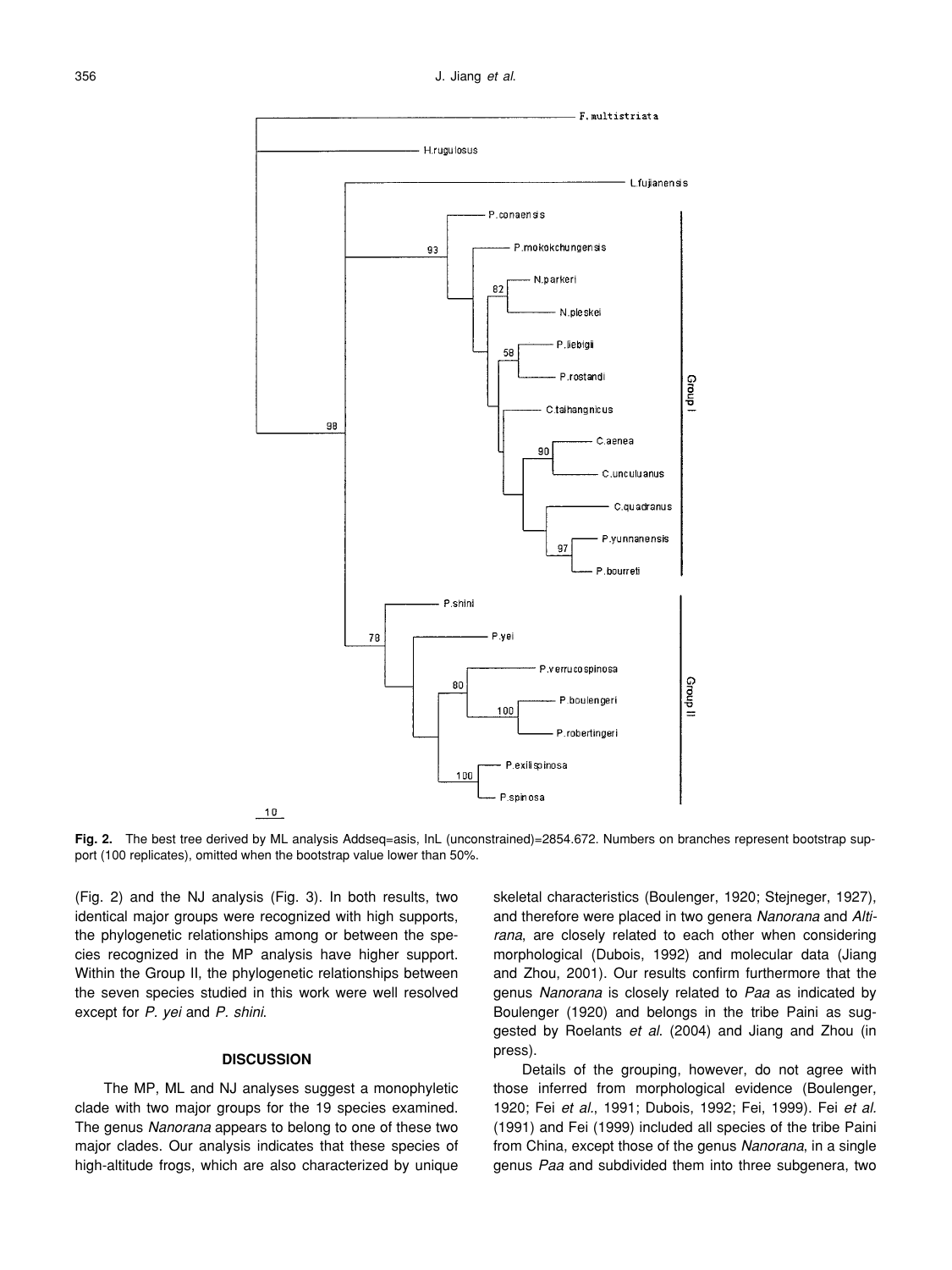

**Fig. 2.** The best tree derived by ML analysis Addseq=asis, InL (unconstrained)=2854.672. Numbers on branches represent bootstrap support (100 replicates), omitted when the bootstrap value lower than 50%.

(Fig. 2) and the NJ analysis (Fig. 3). In both results, two identical major groups were recognized with high supports, the phylogenetic relationships among or between the species recognized in the MP analysis have higher support. Within the Group II, the phylogenetic relationships between the seven species studied in this work were well resolved except for *P. yei* and *P. shini*.

## **DISCUSSION**

The MP, ML and NJ analyses suggest a monophyletic clade with two major groups for the 19 species examined. The genus *Nanorana* appears to belong to one of these two major clades. Our analysis indicates that these species of high-altitude frogs, which are also characterized by unique skeletal characteristics (Boulenger, 1920; Stejneger, 1927), and therefore were placed in two genera *Nanorana* and *Altirana*, are closely related to each other when considering morphological (Dubois, 1992) and molecular data (Jiang and Zhou, 2001). Our results confirm furthermore that the genus *Nanorana* is closely related to *Paa* as indicated by Boulenger (1920) and belongs in the tribe Paini as suggested by Roelants *et al*. (2004) and Jiang and Zhou (in press).

Details of the grouping, however, do not agree with those inferred from morphological evidence (Boulenger, 1920; Fei *et al.*, 1991; Dubois, 1992; Fei, 1999). Fei *et al.* (1991) and Fei (1999) included all species of the tribe Paini from China, except those of the genus *Nanorana*, in a single genus *Paa* and subdivided them into three subgenera, two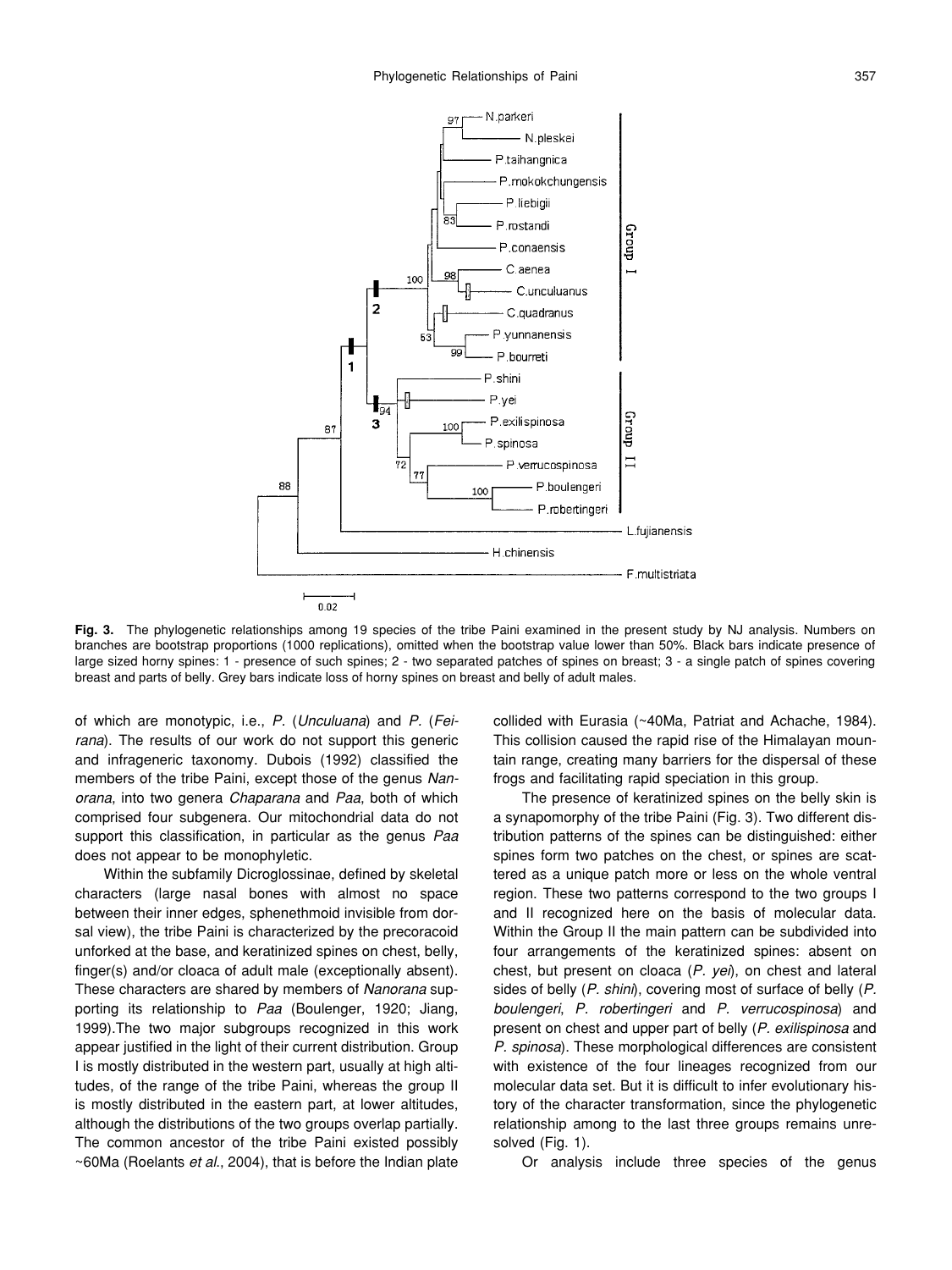

**Fig. 3.** The phylogenetic relationships among 19 species of the tribe Paini examined in the present study by NJ analysis. Numbers on branches are bootstrap proportions (1000 replications), omitted when the bootstrap value lower than 50%. Black bars indicate presence of large sized horny spines: 1 - presence of such spines; 2 - two separated patches of spines on breast; 3 - a single patch of spines covering breast and parts of belly. Grey bars indicate loss of horny spines on breast and belly of adult males.

of which are monotypic, i.e., *P.* (*Unculuana*) and *P.* (*Feirana*). The results of our work do not support this generic and infrageneric taxonomy. Dubois (1992) classified the members of the tribe Paini, except those of the genus *Nanorana*, into two genera *Chaparana* and *Paa*, both of which comprised four subgenera. Our mitochondrial data do not support this classification, in particular as the genus *Paa* does not appear to be monophyletic.

Within the subfamily Dicroglossinae, defined by skeletal characters (large nasal bones with almost no space between their inner edges, sphenethmoid invisible from dorsal view), the tribe Paini is characterized by the precoracoid unforked at the base, and keratinized spines on chest, belly, finger(s) and/or cloaca of adult male (exceptionally absent). These characters are shared by members of *Nanorana* supporting its relationship to *Paa* (Boulenger, 1920; Jiang, 1999).The two major subgroups recognized in this work appear justified in the light of their current distribution. Group I is mostly distributed in the western part, usually at high altitudes, of the range of the tribe Paini, whereas the group II is mostly distributed in the eastern part, at lower altitudes, although the distributions of the two groups overlap partially. The common ancestor of the tribe Paini existed possibly ~60Ma (Roelants *et al*., 2004), that is before the Indian plate collided with Eurasia (~40Ma, Patriat and Achache, 1984). This collision caused the rapid rise of the Himalayan mountain range, creating many barriers for the dispersal of these frogs and facilitating rapid speciation in this group.

The presence of keratinized spines on the belly skin is a synapomorphy of the tribe Paini (Fig. 3). Two different distribution patterns of the spines can be distinguished: either spines form two patches on the chest, or spines are scattered as a unique patch more or less on the whole ventral region. These two patterns correspond to the two groups I and II recognized here on the basis of molecular data. Within the Group II the main pattern can be subdivided into four arrangements of the keratinized spines: absent on chest, but present on cloaca (*P. yei*), on chest and lateral sides of belly (*P. shini*), covering most of surface of belly (*P. boulengeri*, *P. robertingeri* and *P. verrucospinosa*) and present on chest and upper part of belly (*P. exilispinosa* and *P. spinosa*). These morphological differences are consistent with existence of the four lineages recognized from our molecular data set. But it is difficult to infer evolutionary history of the character transformation, since the phylogenetic relationship among to the last three groups remains unresolved (Fig. 1).

Or analysis include three species of the genus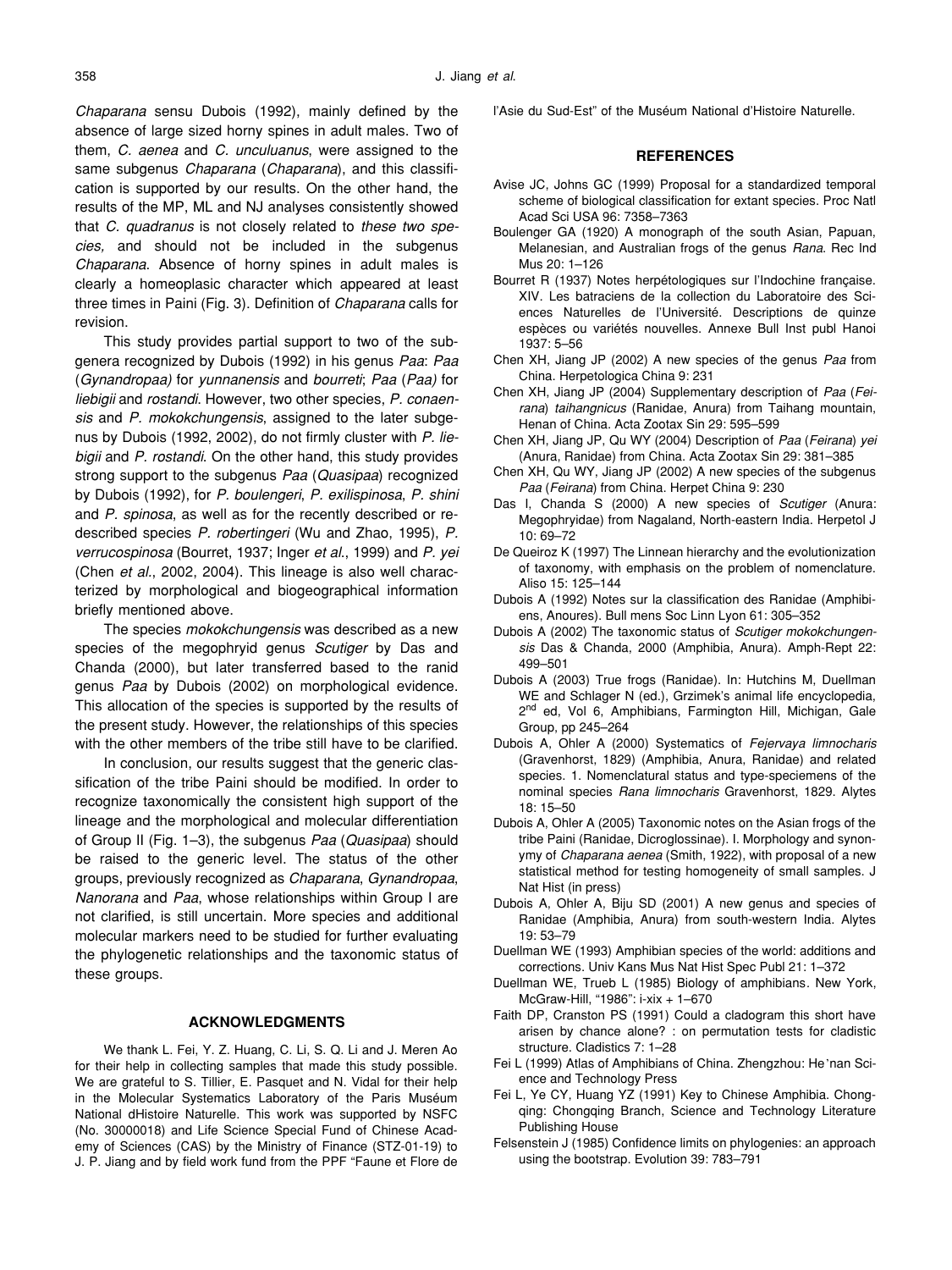*Chaparana* sensu Dubois (1992), mainly defined by the absence of large sized horny spines in adult males. Two of them, *C. aenea* and *C. unculuanus*, were assigned to the same subgenus *Chaparana* (*Chaparana*), and this classification is supported by our results. On the other hand, the results of the MP, ML and NJ analyses consistently showed that *C. quadranus* is not closely related to *these two species,* and should not be included in the subgenus *Chaparana*. Absence of horny spines in adult males is clearly a homeoplasic character which appeared at least three times in Paini (Fig. 3). Definition of *Chaparana* calls for revision.

This study provides partial support to two of the subgenera recognized by Dubois (1992) in his genus *Paa*: *Paa* (*Gynandropaa)* for *yunnanensis* and *bourreti*; *Paa* (*Paa)* for *liebigii* and *rostandi*. However, two other species, *P. conaensis* and *P. mokokchungensis*, assigned to the later subgenus by Dubois (1992, 2002), do not firmly cluster with *P. liebigii* and *P. rostandi*. On the other hand, this study provides strong support to the subgenus *Paa* (*Quasipaa*) recognized by Dubois (1992), for *P. boulengeri*, *P. exilispinosa*, *P. shini* and *P. spinosa*, as well as for the recently described or redescribed species *P. robertingeri* (Wu and Zhao, 1995), *P. verrucospinosa* (Bourret, 1937; Inger *et al*., 1999) and *P. yei* (Chen *et al.*, 2002, 2004). This lineage is also well characterized by morphological and biogeographical information briefly mentioned above.

The species *mokokchungensis* was described as a new species of the megophryid genus *Scutiger* by Das and Chanda (2000), but later transferred based to the ranid genus *Paa* by Dubois (2002) on morphological evidence. This allocation of the species is supported by the results of the present study. However, the relationships of this species with the other members of the tribe still have to be clarified.

In conclusion, our results suggest that the generic classification of the tribe Paini should be modified. In order to recognize taxonomically the consistent high support of the lineage and the morphological and molecular differentiation of Group II (Fig. 1–3), the subgenus *Paa* (*Quasipaa*) should be raised to the generic level. The status of the other groups, previously recognized as *Chaparana*, *Gynandropaa*, *Nanorana* and *Paa*, whose relationships within Group I are not clarified, is still uncertain. More species and additional molecular markers need to be studied for further evaluating the phylogenetic relationships and the taxonomic status of these groups.

#### **ACKNOWLEDGMENTS**

We thank L. Fei, Y. Z. Huang, C. Li, S. Q. Li and J. Meren Ao for their help in collecting samples that made this study possible. We are grateful to S. Tillier, E. Pasquet and N. Vidal for their help in the Molecular Systematics Laboratory of the Paris Muséum National dHistoire Naturelle. This work was supported by NSFC (No. 30000018) and Life Science Special Fund of Chinese Academy of Sciences (CAS) by the Ministry of Finance (STZ-01-19) to J. P. Jiang and by field work fund from the PPF "Faune et Flore de l'Asie du Sud-Est" of the Muséum National d'Histoire Naturelle.

## **REFERENCES**

- Avise JC, Johns GC (1999) Proposal for a standardized temporal scheme of biological classification for extant species. Proc Natl Acad Sci USA 96: 7358–7363
- Boulenger GA (1920) A monograph of the south Asian, Papuan, Melanesian, and Australian frogs of the genus *Rana*. Rec Ind Mus 20: 1–126
- Bourret R (1937) Notes herpétologiques sur l'Indochine française. XIV. Les batraciens de la collection du Laboratoire des Sciences Naturelles de l'Université. Descriptions de quinze espèces ou variétés nouvelles. Annexe Bull Inst publ Hanoi 1937: 5–56
- Chen XH, Jiang JP (2002) A new species of the genus *Paa* from China. Herpetologica China 9: 231
- Chen XH, Jiang JP (2004) Supplementary description of *Paa* (*Feirana*) *taihangnicus* (Ranidae, Anura) from Taihang mountain, Henan of China. Acta Zootax Sin 29: 595–599
- Chen XH, Jiang JP, Qu WY (2004) Description of *Paa* (*Feirana*) *yei* (Anura, Ranidae) from China. Acta Zootax Sin 29: 381–385
- Chen XH, Qu WY, Jiang JP (2002) A new species of the subgenus *Paa* (*Feirana*) from China. Herpet China 9: 230
- Das I, Chanda S (2000) A new species of *Scutiger* (Anura: Megophryidae) from Nagaland, North-eastern India. Herpetol J 10: 69–72
- De Queiroz K (1997) The Linnean hierarchy and the evolutionization of taxonomy, with emphasis on the problem of nomenclature. Aliso 15: 125–144
- Dubois A (1992) Notes sur la classification des Ranidae (Amphibiens, Anoures). Bull mens Soc Linn Lyon 61: 305–352
- Dubois A (2002) The taxonomic status of *Scutiger mokokchungensis* Das & Chanda, 2000 (Amphibia, Anura). Amph-Rept 22: 499–501
- Dubois A (2003) True frogs (Ranidae). In: Hutchins M, Duellman WE and Schlager N (ed.), Grzimek's animal life encyclopedia, 2<sup>nd</sup> ed, Vol 6, Amphibians, Farmington Hill, Michigan, Gale Group, pp 245–264
- Dubois A, Ohler A (2000) Systematics of *Fejervaya limnocharis* (Gravenhorst, 1829) (Amphibia, Anura, Ranidae) and related species. 1. Nomenclatural status and type-speciemens of the nominal species *Rana limnocharis* Gravenhorst, 1829. Alytes 18: 15–50
- Dubois A, Ohler A (2005) Taxonomic notes on the Asian frogs of the tribe Paini (Ranidae, Dicroglossinae). I. Morphology and synonymy of *Chaparana aenea* (Smith, 1922), with proposal of a new statistical method for testing homogeneity of small samples. J Nat Hist (in press)
- Dubois A, Ohler A, Biju SD (2001) A new genus and species of Ranidae (Amphibia, Anura) from south-western India. Alytes 19: 53–79
- Duellman WE (1993) Amphibian species of the world: additions and corrections. Univ Kans Mus Nat Hist Spec Publ 21: 1–372
- Duellman WE, Trueb L (1985) Biology of amphibians*.* New York, McGraw-Hill, "1986": i-xix + 1–670
- Faith DP, Cranston PS (1991) Could a cladogram this short have arisen by chance alone? : on permutation tests for cladistic structure. Cladistics 7: 1–28
- Fei L (1999) Atlas of Amphibians of China. Zhengzhou: He'nan Science and Technology Press
- Fei L, Ye CY, Huang YZ (1991) Key to Chinese Amphibia. Chongqing: Chongqing Branch, Science and Technology Literature Publishing House
- Felsenstein J (1985) Confidence limits on phylogenies: an approach using the bootstrap. Evolution 39: 783–791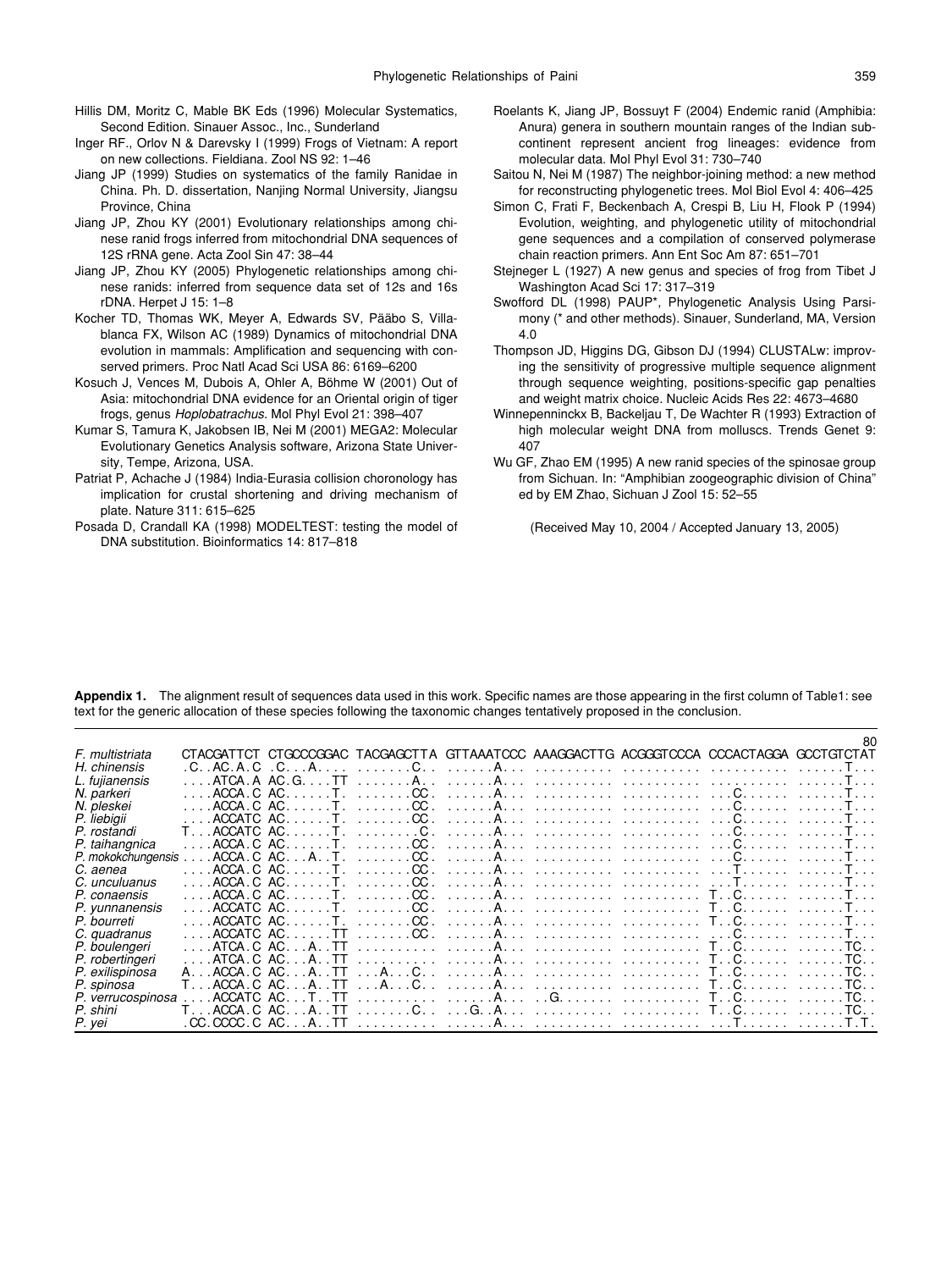- Hillis DM, Moritz C, Mable BK Eds (1996) Molecular Systematics, Second Edition. Sinauer Assoc., Inc., Sunderland
- Inger RF., Orlov N & Darevsky I (1999) Frogs of Vietnam: A report on new collections. Fieldiana*.* Zool NS 92: 1–46
- Jiang JP (1999) Studies on systematics of the family Ranidae in China. Ph. D. dissertation, Nanjing Normal University, Jiangsu Province, China
- Jiang JP, Zhou KY (2001) Evolutionary relationships among chinese ranid frogs inferred from mitochondrial DNA sequences of 12S rRNA gene. Acta Zool Sin 47: 38–44
- Jiang JP, Zhou KY (2005) Phylogenetic relationships among chinese ranids: inferred from sequence data set of 12s and 16s rDNA. Herpet J 15: 1–8
- Kocher TD, Thomas WK, Meyer A, Edwards SV, Pääbo S, Villablanca FX, Wilson AC (1989) Dynamics of mitochondrial DNA evolution in mammals: Amplification and sequencing with conserved primers. Proc Natl Acad Sci USA 86: 6169–6200
- Kosuch J, Vences M, Dubois A, Ohler A, Böhme W (2001) Out of Asia: mitochondrial DNA evidence for an Oriental origin of tiger frogs, genus *Hoplobatrachus*. Mol Phyl Evol 21: 398–407
- Kumar S, Tamura K, Jakobsen IB, Nei M (2001) MEGA2: Molecular Evolutionary Genetics Analysis software, Arizona State University, Tempe, Arizona, USA.
- Patriat P, Achache J (1984) India-Eurasia collision choronology has implication for crustal shortening and driving mechanism of plate. Nature 311: 615–625
- Posada D, Crandall KA (1998) MODELTEST: testing the model of DNA substitution. Bioinformatics 14: 817–818
- Roelants K, Jiang JP, Bossuyt F (2004) Endemic ranid (Amphibia: Anura) genera in southern mountain ranges of the Indian subcontinent represent ancient frog lineages: evidence from molecular data. Mol Phyl Evol 31: 730–740
- Saitou N, Nei M (1987) The neighbor-joining method: a new method for reconstructing phylogenetic trees. Mol Biol Evol 4: 406–425
- Simon C, Frati F, Beckenbach A, Crespi B, Liu H, Flook P (1994) Evolution, weighting, and phylogenetic utility of mitochondrial gene sequences and a compilation of conserved polymerase chain reaction primers. Ann Ent Soc Am 87: 651–701
- Stejneger L (1927) A new genus and species of frog from Tibet J Washington Acad Sci 17: 317–319
- Swofford DL (1998) PAUP\*, Phylogenetic Analysis Using Parsimony (\* and other methods). Sinauer, Sunderland, MA, Version 4.0
- Thompson JD, Higgins DG, Gibson DJ (1994) CLUSTALw: improving the sensitivity of progressive multiple sequence alignment through sequence weighting, positions-specific gap penalties and weight matrix choice. Nucleic Acids Res 22: 4673–4680
- Winnepenninckx B, Backeljau T, De Wachter R (1993) Extraction of high molecular weight DNA from molluscs. Trends Genet 9: 407
- Wu GF, Zhao EM (1995) A new ranid species of the spinosae group from Sichuan. In: "Amphibian zoogeographic division of China" ed by EM Zhao, Sichuan J Zool 15: 52–55

(Received May 10, 2004 / Accepted January 13, 2005)

|                    |                  |                                                                                         |                          |              |   |                             | 80    |
|--------------------|------------------|-----------------------------------------------------------------------------------------|--------------------------|--------------|---|-----------------------------|-------|
| F. multistriata    |                  | CTACGATTCT CTGCCCGGAC TACGAGCTTA GTTAAATCCC AAAGGACTTG ACGGGTCCCA CCCACTAGGA GCCTGTCTAT |                          |              |   |                             |       |
| H. chinensis       | .C. . AC. A . C  | . . A                                                                                   | . 0.                     |              |   |                             |       |
| L. fujianensis     | ATCA, A AC, G.   | <b>TT</b>                                                                               | . A                      |              |   |                             |       |
| N. parkeri         | ACCA C AC        |                                                                                         | $CC$ .                   |              |   |                             |       |
| N. pleskei         | ACCA.C AC.       |                                                                                         | $CC$ .                   |              |   |                             |       |
| P. liebigii        | ACCATC AC        |                                                                                         | . CC .                   |              |   |                             |       |
| P. rostandi        | ACCATC AC.       |                                                                                         |                          |              |   |                             |       |
| P. taihangnica     | ACCA.C AC        |                                                                                         | $\ldots \ldots$ . $CC$ . |              |   |                             |       |
| P. mokokchungensis | ACCA.C AC.       |                                                                                         | .CC .                    |              |   |                             |       |
| C. aenea           | ACCA C AC.       |                                                                                         | .CC.                     |              |   |                             |       |
| C. unculuanus      | ACCA C AC        |                                                                                         | . CC .                   |              |   |                             | . 1   |
| P. conaensis       | . ACCA . C AC .  |                                                                                         | $\ldots$ . CC.           |              |   |                             | .     |
| P. yunnanensis     | ACCATC AC        |                                                                                         | . CC .                   |              |   |                             | .C. T |
| P. bourreti        | ACCATC AC.       |                                                                                         | . $CC$ .                 |              |   |                             |       |
| C. quadranus       | ACCATC AC.       |                                                                                         | . CC .                   |              |   |                             |       |
| P. boulengeri      | ATCA C AC.       |                                                                                         | and a straightful and    |              |   |                             |       |
| P. robertingeri    | . ATCA . C AC .  | $A \cdot \Pi$                                                                           |                          |              |   |                             | .     |
| P. exilispinosa    | ACCA.C AC.       |                                                                                         | $A \cup C$               |              |   | $T_{\cdot\cdot}$ , C. TC. . |       |
| P. spinosa         | ACCA C AC        |                                                                                         |                          |              |   |                             | TC.   |
| P. verrucospinosa  | ACCATC AC.       |                                                                                         |                          | $\ldots$ $A$ |   |                             | . TC. |
| P. shini           | ACCA C AC        |                                                                                         |                          | . C. G. . A. | . |                             |       |
| P. vei             | . CC. CCCC. C AC |                                                                                         |                          |              |   |                             |       |

**Appendix 1.** The alignment result of sequences data used in this work. Specific names are those appearing in the first column of Table1: see text for the generic allocation of these species following the taxonomic changes tentatively proposed in the conclusion.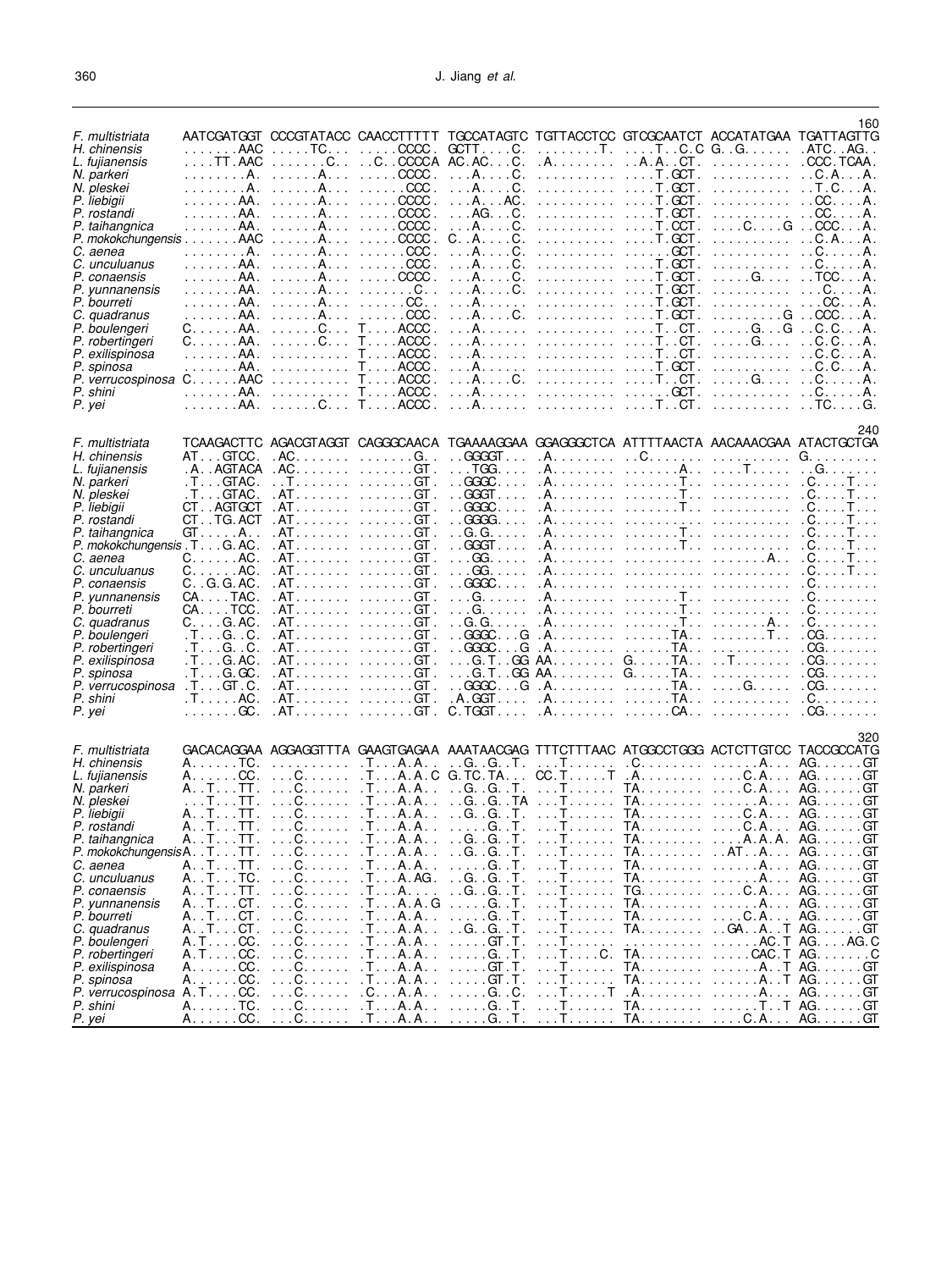| J. Jiang et al. |  |
|-----------------|--|
|                 |  |

| F. multistriata<br>H. chinensis<br>L. fujianensis<br>N. parkeri<br>N. pleskei<br>P. liebigii<br>P. rostandi<br>P. taihangnica<br>P. mokokchungensis<br>C. aenea<br>C. unculuanus<br>P. conaensis<br>P. vunnanensis<br>P. bourreti<br>C. quadranus<br>P. boulengeri<br>P. robertingeri<br>P. exilispinosa                                                                                 | . . AAC<br>. TT . AAC<br>. A .<br>. A .<br>. AA .<br>. AAC<br>. AA .<br>. AA .<br>. AA<br>C.<br>C. AA.<br>. AA .                                                                                                                                                       | . A<br>$\sim$ $\sim$ $\sim$ $\sim$ $\sim$<br>. A<br>$\ldots \ldots A \ldots \ldots \ldots CCCC$ .<br>. A CC<br>$\ldots \ldots A \ldots \ldots \ldots \text{CCC}.$<br>. C.<br>. 0.<br>.                                                                                                                                                                             | $\ldots$ . CCCC.<br>$\ldots \ldots$ . CCC.<br>$T_{\ldots}$ . ACCC.<br>$T \ldots$ ACCC.                                           | AATCGATGGT CCCGTATACC CAACCTTTTT TGCCATAGTC TGTTACCTCC GTCGCAATCT ACCATATGAA TGATTAGTTG<br>TC CCCC. GCTTC. T. TC.C GG<br>. A C .<br>$\ldots$ A. $\ldots$ C. $\ldots$ . $\ldots$ . $\ldots$ . T. GCT.<br>$\ldots$ A. $\ldots$ AC. $\ldots$ T . GCT .<br>$\ldots$ AG. $\ldots$ C. $\ldots$ $\ldots$ $\ldots$ $\ldots$ . T. GCT.<br>$\ldots$ A $\ldots$ C $\ldots$ $\ldots$ $\ldots$ $\ldots$ T $\ldots$ CCT .<br>$\ldots$ A. $\ldots$ C. $\ldots$ . $\ldots$ . $\ldots$ . T. GCT. | .        | $\ldots$ . T. GCT.<br>$\ldots$ $GCT$ . | .<br>.<br>.<br>$\ldots$ . C. $\ldots$ G $\ldots$ CCC.<br>.<br>.<br>1.1.1.1<br>1.1.1.1.1.1.1.1<br>$\ddot{\phantom{a}}$<br>$\ldots \ldots \ldots G \ldots COC$ .<br>$\ldots$ . G. $\ldots$ G. $\ldots$ C. C.<br>. G.<br>. | 160<br>. ATC. . AG. .<br>. CCC. TCAA.<br>. . C. A A .<br>$\ldots$ T . C .<br>. . A .<br>$\ldots$ CC .<br>$\ldots$ CC.<br>.C.A. A. A.<br>. . C. A .<br>$G. \ldots$ . TCC.<br>. C.<br>$\ldots$ CC.<br>. . A .<br>$\ldots$ C . C .<br>$\ldots$ C . C . |
|------------------------------------------------------------------------------------------------------------------------------------------------------------------------------------------------------------------------------------------------------------------------------------------------------------------------------------------------------------------------------------------|------------------------------------------------------------------------------------------------------------------------------------------------------------------------------------------------------------------------------------------------------------------------|--------------------------------------------------------------------------------------------------------------------------------------------------------------------------------------------------------------------------------------------------------------------------------------------------------------------------------------------------------------------|----------------------------------------------------------------------------------------------------------------------------------|---------------------------------------------------------------------------------------------------------------------------------------------------------------------------------------------------------------------------------------------------------------------------------------------------------------------------------------------------------------------------------------------------------------------------------------------------------------------------------|----------|----------------------------------------|-------------------------------------------------------------------------------------------------------------------------------------------------------------------------------------------------------------------------|-----------------------------------------------------------------------------------------------------------------------------------------------------------------------------------------------------------------------------------------------------|
| P. spinosa<br>P. verrucospinosa C. AAC<br>P. shini<br>P. yei                                                                                                                                                                                                                                                                                                                             | . AA .<br>. AA .<br>. AA .                                                                                                                                                                                                                                             | .<br>$\alpha$ . The second contract $\alpha$<br>1.1.1.1.1.1.1.1.1                                                                                                                                                                                                                                                                                                  | $\ldots$ ACCC .<br>Τ.                                                                                                            | 1.1.4.1.1.1.1.1.1.1.1.1.1.1.1.1.00<br>$T \dots$ ACCC $\ldots$ A $\ldots$ C $\ldots$ $\ldots$ $\ldots$ $\ldots$ T $\ldots$ CT .                                                                                                                                                                                                                                                                                                                                                  |          |                                        | .<br>. G. C. A .<br>.<br>.                                                                                                                                                                                              | $\ldots$ C.C.<br>$\ldots$ C. .<br>. . A .<br>. . G.<br>. . TC. .                                                                                                                                                                                    |
| F. multistriata                                                                                                                                                                                                                                                                                                                                                                          |                                                                                                                                                                                                                                                                        |                                                                                                                                                                                                                                                                                                                                                                    |                                                                                                                                  | TCAAGACTTC AGACGTAGGT CAGGGCAACA TGAAAAGGAA GGAGGGCTCA ATTTTAACTA AACAAACGAA ATACTGCTGA                                                                                                                                                                                                                                                                                                                                                                                         |          |                                        |                                                                                                                                                                                                                         | 240                                                                                                                                                                                                                                                 |
| H. chinensis<br>L. fujianensis<br>N. parkeri<br>N. pleskei<br>P. liebigii<br>P. rostandi<br>P. taihangnica<br><i>P. mokokchungensis</i> . T G. AC .<br>C. aenea<br>C. unculuanus<br>P. conaensis<br>P. vunnanensis<br>P. bourreti<br>C. quadranus<br>P. boulengeri<br>P. robertingeri<br>P. exilispinosa<br>P. spinosa<br>P. verrucospinosa<br>P. shini<br>P. yei                        | ATGTCC.<br>$.T.$ . GTAC.<br>.TGTAC.<br>CT.AGTGCT<br>CT. TG. ACT. AT.<br>GT<br>. A<br>С. .<br>. AC.<br>$\ldots$ AC.<br>C.<br>C. . G. G. AC.<br>CATAC.<br>CATCC.<br>C. G. AC.<br>. . G. . C.<br>. T G. . C.<br>. T G. AC.<br>. T. G. GC.<br>.T. G T. C.<br>. AC .<br>GC. | $\ldots$ T $\ldots$<br>. AT .<br>$\cdots$<br>. AT .<br>and a strong state.<br>. AT .<br>. AT .<br>. AT .<br>$\begin{array}{cccccccccccccc} . & . & . & . & . & . & . \end{array}$<br>. AT .<br>. AT .<br>$\begin{array}{cccccccccccccc} . & . & . & . & . & . & . \end{array}$<br>. AT .<br>$\cdots$<br>. AT .<br>. AT .<br>.<br>. AT GT .<br>. AT<br>. AT<br>. AT | . GT .<br>. GT .<br>. GT .<br>.   GT<br>. GT<br>$\ldots$ GT .<br>. AT GT .<br>. GT .<br>. GT .<br>. GT .<br>$\ldots$ GT $\ldots$ | $GGGC \ldots$<br>GT. GGGC .A T<br>$\ldots$ GGGG $\ldots$ .<br>$\ldots$ GG. $\ldots$ .<br>. G.<br>G.TGG AA GTA T<br>$\ldots$ G.T. $\ldots$ GG AA GTA<br>GT. C.TGGT .A CA                                                                                                                                                                                                                                                                                                         | .A. T. . |                                        | .<br>.<br>.A. T.<br>. G.<br>.                                                                                                                                                                                           | G.<br>. C.<br>. CG.<br>. CG. .<br>.CG.<br>. CG.<br>320                                                                                                                                                                                              |
| F. multistriata<br>H. chinensis<br>L. fujianensis<br>N. parkeri<br>N. pleskei<br>P. liebigii<br>P. rostandi<br>P. taihangnica<br><i>P. mokokchungensis</i> A T TT .<br>C. aenea<br>C. unculuanus<br>P. conaensis<br>P. yunnanensis<br>P. bourreti<br>C. quadranus<br>P. boulengeri<br>P. robertingeri<br>P. exilispinosa<br>P. spinosa<br>P. verrucospinosa A.TCC.<br>P. shini<br>P. yei | A. TC.<br>A. CC.<br>$\ldots$ TT .<br>$\ldots$ . $\ldots$ . TT .<br>A. . T<br>A. . T. TT .<br>A. . T. TC.<br>A. . T. TT .<br>A. . T. CT .<br>A. . T. CT .<br>A. . T. CT .<br>A.TCC.<br>A. T. CC.<br>A. CC.<br>A. CC.                                                    | .<br>. C.<br>. 0.<br>.<br>. C.<br>.<br>. 0.<br>. 0.<br>.                                                                                                                                                                                                                                                                                                           |                                                                                                                                  | GACACAGGAA AGGAGGTTTA GAAGTGAGAA AAATAACGAG TTTCTTTAAC ATGGCCTGGG ACTCTTGTCC TACCGCCATG<br>.T.A.A.C G.TC.TA. CC.T. T<br>$.TA.A$ $.GGT$<br>.TA.A GT. T TA C.A AGGT<br>$.TA.AGGGGTTTTATA$<br>$TA.A$ $G.T$ $T$ $TA$                                                                                                                                                                                                                                                                |          | .A. C.A.<br>TA.                        | . C. A .<br>. A     AG. GT<br>. C. A AG. GT<br>CAC.T AGC                                                                                                                                                                | AG.<br>. GT<br>. GT<br>AG.<br>. . GT<br>AG.<br>AG.<br>. . GT<br>AG.<br>. . GT                                                                                                                                                                       |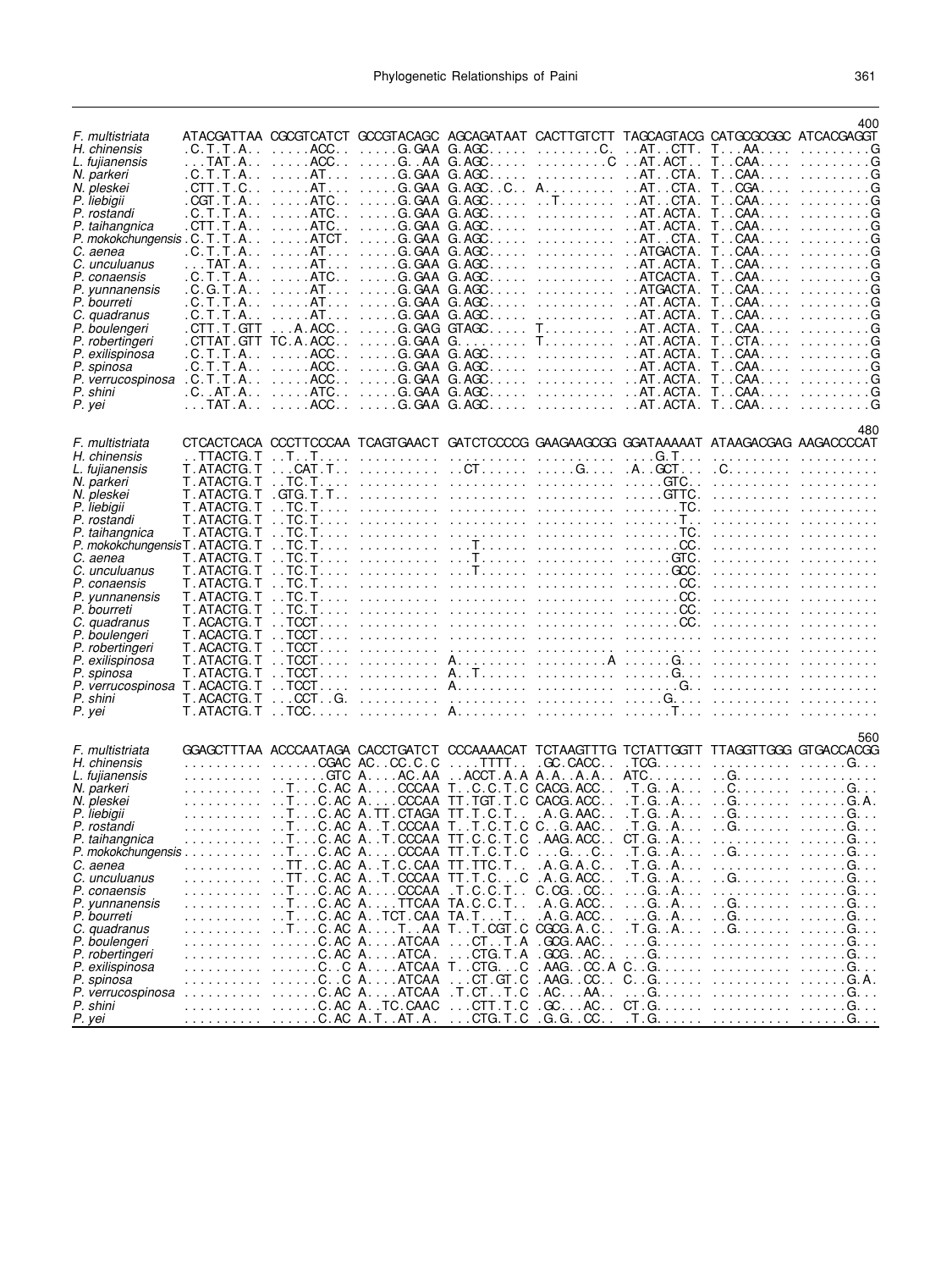|                                          |                 |                     |                                                                                                                                                       |               |                             |                |                                                      | 400 |
|------------------------------------------|-----------------|---------------------|-------------------------------------------------------------------------------------------------------------------------------------------------------|---------------|-----------------------------|----------------|------------------------------------------------------|-----|
| F. multistriata                          |                 |                     | ATACGATTAA CGCGTCATCT GCCGTACAGC AGCAGATAAT CACTTGTCTT TAGCAGTACG CATGCGCGGC ATCACGAGGT                                                               |               |                             |                |                                                      |     |
| H. chinensis                             |                 | .C.T.T.A. .  ACC. . |                                                                                                                                                       |               |                             |                |                                                      |     |
| L. fujianensis                           |                 |                     |                                                                                                                                                       |               |                             |                |                                                      |     |
| N. parkeri                               | .C.T.T.A        |                     | $\ldots$ AT $\ldots$ $\ldots$ G. GAA G. AGC $\ldots$                                                                                                  |               | . AT CTA . T CAA .          |                |                                                      |     |
| N. pleskei                               |                 | . CTT . T . C AT    | G.GAA G.AGCC AATCTA. TCGA G                                                                                                                           |               |                             |                |                                                      | . G |
| P. liebigii                              | .CGT.T.A        |                     | ATC G.GAA G.AGC T ATCTA. TCAA.<br>ATCG.GAA G.AGCAT.ACTA.                                                                                              |               |                             |                |                                                      |     |
| P. rostandi<br>P. taihangnica            | .C.T.T.A. .     |                     |                                                                                                                                                       |               |                             |                | T.CAA.<br>$\cdots$                                   | . G |
| P. mokokchungensis . C. T . T . A ATCT . |                 |                     | G. GAA G. AGC  ATCTA. TCAA                                                                                                                            |               |                             |                |                                                      | . G |
| C. aenea                                 | .C.T.T.A. .     |                     | AT G.GAA G.AGC ATGACTA.                                                                                                                               |               |                             |                | T.CAA.                                               |     |
| C. unculuanus                            |                 | . TAT . A AT        | G. GAA G. AGC.   AT. ACTA. TCAA                                                                                                                       |               |                             |                |                                                      | . G |
| P. conaensis                             |                 |                     | .C.T.T.A ATC G.GAA G.AGC  ATCACTA. TCAA                                                                                                               |               |                             |                |                                                      | . G |
| P. vunnanensis                           | . C. G. T . A   |                     |                                                                                                                                                       |               |                             |                | T.CAA.<br>$\cdots$                                   |     |
| P. bourreti                              |                 | .C.T.T.A. AT.       |                                                                                                                                                       |               |                             |                |                                                      |     |
| C. quadranus                             |                 |                     |                                                                                                                                                       |               |                             |                |                                                      |     |
| P. boulengeri                            | . CTT . T . GTT |                     | $\ldots$ A.ACC $\ldots$ .G.GAG GTAGC                                                                                                                  |               |                             |                |                                                      |     |
| P. robertingeri                          |                 |                     | .CTTAT.GTT_TC.A.ACC G.GAA_G T AT.ACTA._TCTA G                                                                                                         |               |                             |                |                                                      |     |
| P. exilispinosa                          | .C.T.T.A. .     |                     |                                                                                                                                                       |               |                             |                |                                                      |     |
| P. spinosa                               | .C.T.T.A. .     | $\ldots$            | .ACC G.GAA G.AGC  AT.ACTA.                                                                                                                            |               |                             |                | $T_{\cdot}$ . CAAG                                   |     |
| P. verrucospinosa                        |                 |                     |                                                                                                                                                       |               |                             |                |                                                      |     |
| P. shini                                 |                 |                     |                                                                                                                                                       |               |                             |                |                                                      |     |
| P. yei                                   |                 |                     |                                                                                                                                                       |               |                             |                |                                                      |     |
|                                          |                 |                     |                                                                                                                                                       |               |                             |                |                                                      |     |
|                                          |                 |                     |                                                                                                                                                       |               |                             |                |                                                      | 480 |
| F. multistriata                          |                 |                     | CTCACTCACA CCCTTCCCAA TCAGTGAACT GATCTCCCCG GAAGAAGCGG GGATAAAAAT ATAAGACGAG AAGACCCCAT                                                               |               |                             |                |                                                      |     |
| H. chinensis                             | . TTACTG. T     |                     |                                                                                                                                                       |               |                             |                |                                                      |     |
| L. fujianensis                           | T . ATACTG. T   |                     | $\ldots$ CAT.T $\ldots$ $\ldots$ $\ldots$ $\ldots$ $\ldots$ $\ldots$ $\ldots$ $\ldots$ $\ldots$ $\ldots$ $\ldots$ $\ldots$ $\ldots$ $\ldots$ $\ldots$ |               |                             |                |                                                      |     |
| N. parkeri                               | T. ATACTG. T    |                     |                                                                                                                                                       |               |                             |                |                                                      |     |
| N. pleskei                               | T . ATACTG. T   |                     |                                                                                                                                                       |               |                             |                |                                                      |     |
| P. liebigii                              | T . ATACTG. T   |                     |                                                                                                                                                       |               |                             |                |                                                      |     |
| P. rostandi                              | T. ATACTG. T    |                     |                                                                                                                                                       |               |                             |                |                                                      |     |
| P. taihangnica                           | T . ATACTG. T   |                     |                                                                                                                                                       |               |                             |                |                                                      |     |
| P. mokokchungensisT . ATACTG. T          |                 |                     |                                                                                                                                                       |               |                             |                |                                                      |     |
| C. aenea                                 | T . ATACTG. T   |                     |                                                                                                                                                       |               |                             |                |                                                      |     |
| C. unculuanus                            | T . ATACTG. T   |                     |                                                                                                                                                       |               |                             |                |                                                      |     |
| P. conaensis                             | T . ATACTG. T   |                     |                                                                                                                                                       |               |                             |                |                                                      |     |
| P. vunnanensis                           | T . ATACTG. T   |                     |                                                                                                                                                       |               |                             |                |                                                      |     |
| P. bourreti                              | T . ATACTG. T   |                     |                                                                                                                                                       |               |                             |                |                                                      |     |
| C. quadranus                             | T . ACACTG. T   |                     |                                                                                                                                                       |               |                             |                |                                                      |     |
| P. boulengeri                            | T . ACACTG. T   |                     |                                                                                                                                                       |               |                             |                |                                                      |     |
| P. robertingeri                          | T . ACACTG. T   |                     |                                                                                                                                                       |               |                             |                |                                                      |     |
| P. exilispinosa                          | T . ATACTG. T   |                     |                                                                                                                                                       |               |                             |                |                                                      |     |
| P. spinosa                               | T . ATACTG. T   |                     |                                                                                                                                                       |               |                             |                |                                                      |     |
| P. verrucospinosa                        | T . ACACTG. T   |                     |                                                                                                                                                       |               |                             |                |                                                      |     |
| P. shini                                 | T . ACACTG. T   |                     |                                                                                                                                                       |               |                             |                |                                                      |     |
| P. yei                                   | T. ATACTG. T    |                     |                                                                                                                                                       |               |                             |                |                                                      |     |
|                                          |                 |                     |                                                                                                                                                       |               |                             |                |                                                      | 560 |
| F. multistriata                          |                 |                     | GGAGCTTTAA ACCCAATAGA CACCTGATCT CCCAAAACAT TCTAAGTTTG TCTATTGGTT TTAGGTTGGG GTGACCACGG                                                               |               |                             |                |                                                      |     |
| H. chinensis                             |                 |                     | CGAC ACCC.C.C                                                                                                                                         |               |                             |                |                                                      |     |
| L. fujianensis                           |                 |                     | GTC AAC.AA  ACCT.A.A  A.AA.A  ATC  G                                                                                                                  |               |                             |                |                                                      |     |
| N. parkeri                               |                 | . T. C. AC A.       |                                                                                                                                                       |               | CCCAA TC.C.T.C CACG.ACCT.GA |                | . . C.                                               |     |
| N. pleskei                               |                 |                     | TC.AC ACCCAA TT.TGT.T.C CACG.ACC                                                                                                                      |               |                             |                | $T.G. A. G. G.A.$                                    |     |
| P. liebigii                              |                 |                     | TC.AC  A.TT.CTAGA  TT.T.C.T   .A.G.AAC.  T.G. .A  G  G                                                                                                |               |                             |                |                                                      |     |
| P. rostandi                              |                 |                     | . T. C.AC_A. . T. CCCAA_T. . T. C.T. C_C. . G.AAC.T. G. . A. G.                                                                                       |               |                             |                |                                                      |     |
| P. taihangnica                           |                 |                     | C.AC A. T.CCCAA TT.C.C.T.C. AAG.ACC CT.GA                                                                                                             |               |                             |                | $\alpha$ , $\alpha$ , $\alpha$ , $\alpha$ , $\alpha$ |     |
| P. mokokchungensis                       |                 |                     | TC.AC ACCCAA TT.T.C.T.C GC T.GA G                                                                                                                     |               |                             |                |                                                      |     |
| C. aenea                                 |                 |                     | .TT. .C.AC A. .T.C.CAA TT.TTC.T.                                                                                                                      |               | . A. G. A. C. .             | . T . G. . A . |                                                      |     |
| C. unculuanus                            |                 |                     | TTC.AC AT.CCCAA TT.T.CC .A.G.ACC                                                                                                                      |               |                             | . T . G. . A   | . . G.                                               |     |
| P. conaensis                             | .               |                     | TC.AC ACCCAA .T.C.C.T C.CGCC.                                                                                                                         |               |                             | . G. . A       |                                                      |     |
| P. vunnanensis                           |                 |                     | TC.AC ATTCAA TA.C.C.T                                                                                                                                 |               | . A . G. ACC.               | . G. . A       | . . G.                                               |     |
| P. bourreti                              |                 |                     | $\ldots$ T $\ldots$ C. AC $\,$ A $\ldots$ TCT $\,$ CAA $\,$ TA $\,$ T $\ldots$ T $\ldots$ T $\ldots$                                                  |               | . A. G. ACC. .              | . G. . A       | . . G.                                               |     |
| C. quadranus                             |                 |                     |                                                                                                                                                       |               |                             | .T.G. .A.      |                                                      |     |
| P. boulengeri                            |                 |                     | C.AC AATCAA CTT.A .GCG.AAC.                                                                                                                           |               |                             | . G.           |                                                      |     |
| P. robertingeri                          |                 |                     | . . C. AC A. ATCA .                                                                                                                                   | CTG.T.A.GCGAC |                             | . G.           | .                                                    |     |
| P. exilispinosa                          |                 |                     | CC AATCAA TCTGC .AAGCC.A CG                                                                                                                           |               |                             |                |                                                      |     |
| P. spinosa                               |                 |                     | CC AATCAA CT.GT.C .AAGCC CG                                                                                                                           |               |                             |                | .                                                    |     |
| P. verrucospinosa                        |                 |                     |                                                                                                                                                       |               |                             |                |                                                      |     |
| P. shini                                 | .               | $\sim$ $\sim$       | C.AC ATC.CAAC CTT.T.C .GCAC CT.G G                                                                                                                    |               |                             |                |                                                      |     |
| P. yei                                   |                 |                     | C.AC A.TAT.A.  CTG.T.C  .G.G. .CC.  .T.G.   G                                                                                                         |               |                             |                |                                                      |     |
|                                          |                 |                     |                                                                                                                                                       |               |                             |                |                                                      |     |